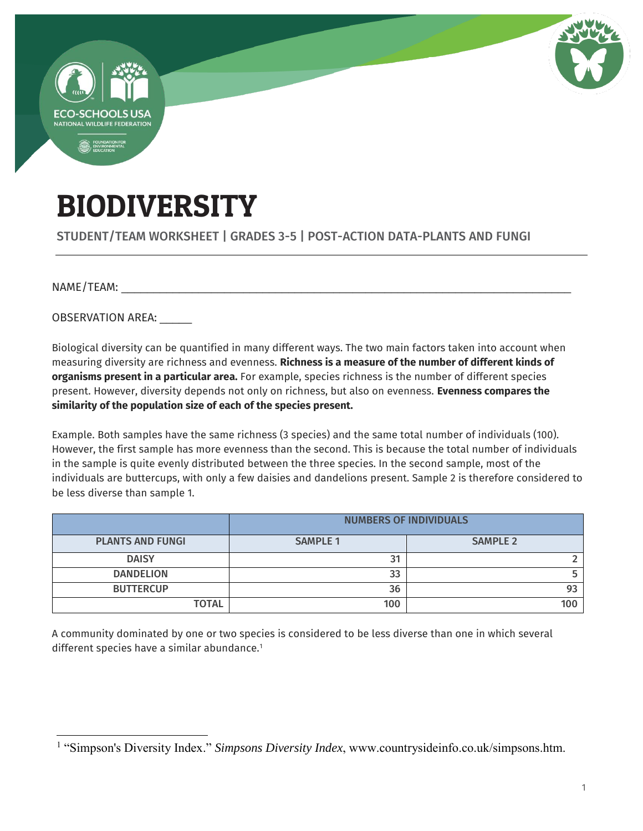

## BIODIVERSITY

STUDENT/TEAM WORKSHEET | GRADES 3-5 | POST-ACTION DATA-PLANTS AND FUNGI

 $NAME/TEAM:$ 

 $\overline{a}$ 

OBSERVATION AREA:

Biological diversity can be quantified in many different ways. The two main factors taken into account when measuring diversity are richness and evenness. **Richness is a measure of the number of different kinds of organisms present in a particular area.** For example, species richness is the number of different species present. However, diversity depends not only on richness, but also on evenness. **Evenness compares the similarity of the population size of each of the species present.** 

Example. Both samples have the same richness (3 species) and the same total number of individuals (100). However, the first sample has more evenness than the second. This is because the total number of individuals in the sample is quite evenly distributed between the three species. In the second sample, most of the individuals are buttercups, with only a few daisies and dandelions present. Sample 2 is therefore considered to be less diverse than sample 1.

|                         | <b>NUMBERS OF INDIVIDUALS</b> |                 |  |
|-------------------------|-------------------------------|-----------------|--|
| <b>PLANTS AND FUNGI</b> | <b>SAMPLE 1</b>               | <b>SAMPLE 2</b> |  |
| <b>DAISY</b>            | 31                            |                 |  |
| <b>DANDELION</b>        | 33                            |                 |  |
| <b>BUTTERCUP</b>        | 36                            | 93              |  |
| <b>TOTAL</b>            | 100                           | 100             |  |

A community dominated by one or two species is considered to be less diverse than one in which several different species have a similar abundance.<sup>1</sup>

<sup>&</sup>lt;sup>1</sup> "Simpson's Diversity Index." *Simpsons Diversity Index*, www.countrysideinfo.co.uk/simpsons.htm.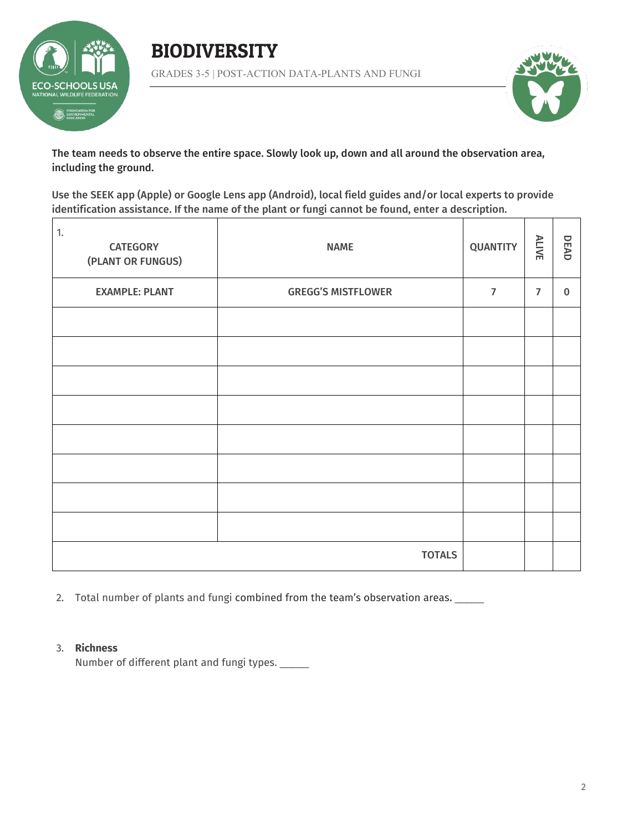





The team needs to observe the entire space. Slowly look up, down and all around the observation area, including the ground.

Use the SEEK app (Apple) or Google Lens app (Android), local field guides and/or local experts to provide identification assistance. If the name of the plant or fungi cannot be found, enter a description.

| 1.<br><b>CATEGORY</b><br>(PLANT OR FUNGUS) | <b>NAME</b>               | <b>QUANTITY</b> | ALIVE          | DEAD        |
|--------------------------------------------|---------------------------|-----------------|----------------|-------------|
| <b>EXAMPLE: PLANT</b>                      | <b>GREGG'S MISTFLOWER</b> | $\overline{7}$  | $\overline{7}$ | $\mathbf 0$ |
|                                            |                           |                 |                |             |
|                                            |                           |                 |                |             |
|                                            |                           |                 |                |             |
|                                            |                           |                 |                |             |
|                                            |                           |                 |                |             |
|                                            |                           |                 |                |             |
|                                            |                           |                 |                |             |
|                                            |                           |                 |                |             |
|                                            | <b>TOTALS</b>             |                 |                |             |

2. Total number of plants and fungi combined from the team's observation areas. \_\_\_\_\_

## 3. **Richness**

Number of different plant and fungi types. \_\_\_\_\_